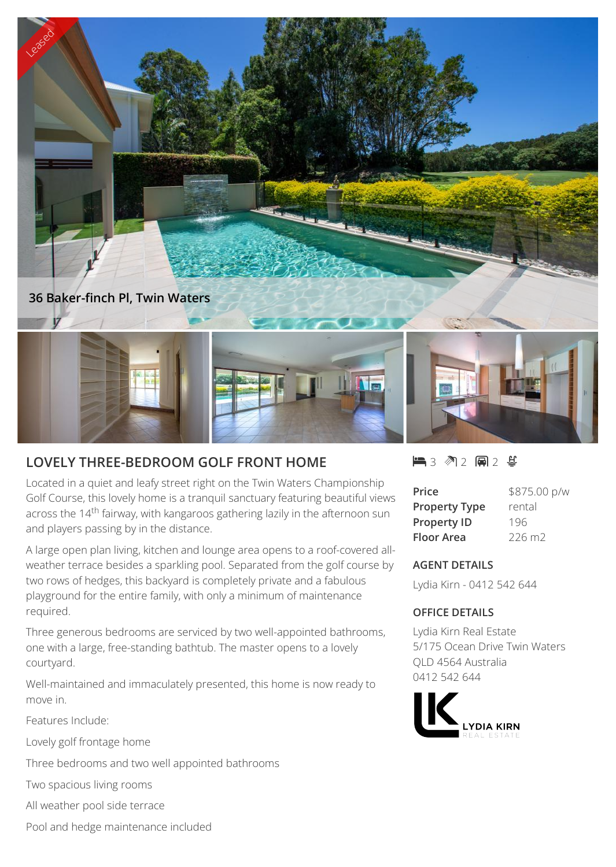

# **LOVELY THREE-BEDROOM GOLF FRONT HOME**

Located in a quiet and leafy street right on the Twin Waters Championship Golf Course, this lovely home is a tranquil sanctuary featuring beautiful views across the 14<sup>th</sup> fairway, with kangaroos gathering lazily in the afternoon sun and players passing by in the distance.

A large open plan living, kitchen and lounge area opens to a roof-covered allweather terrace besides a sparkling pool. Separated from the golf course by two rows of hedges, this backyard is completely private and a fabulous playground for the entire family, with only a minimum of maintenance required.

Three generous bedrooms are serviced by two well-appointed bathrooms, one with a large, free-standing bathtub. The master opens to a lovely courtyard.

Well-maintained and immaculately presented, this home is now ready to move in.

Features Include:

Lovely golf frontage home

Three bedrooms and two well appointed bathrooms

Two spacious living rooms

All weather pool side terrace

Pool and hedge maintenance included

### ■3 图2 日2 里

| Price                | \$875.00 p/w    |
|----------------------|-----------------|
| <b>Property Type</b> | rental          |
| <b>Property ID</b>   | 196             |
| Floor Area           | $226 \text{ m}$ |

### **AGENT DETAILS**

Lydia Kirn - 0412 542 644

# **OFFICE DETAILS**

Lydia Kirn Real Estate 5/175 Ocean Drive Twin Waters QLD 4564 Australia 0412 542 644